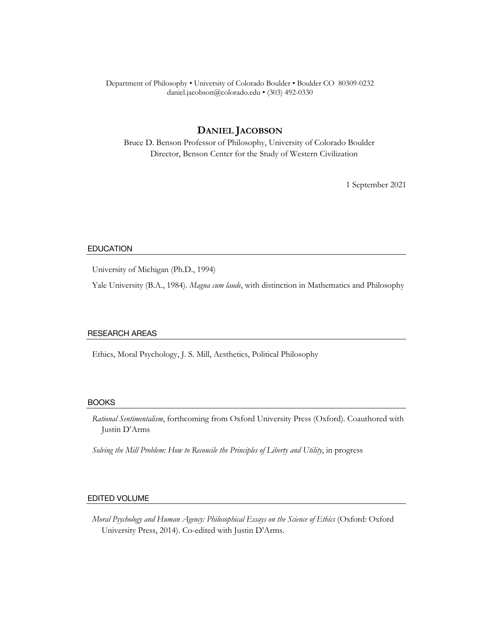### Department of Philosophy • University of Colorado Boulder • Boulder CO 80309-0232 daniel.jacobson@colorado.edu • (303) 492-0330

# **DANIEL JACOBSON**

Bruce D. Benson Professor of Philosophy, University of Colorado Boulder Director, Benson Center for the Study of Western Civilization

1 September 2021

### EDUCATION

University of Michigan (Ph.D., 1994)

Yale University (B.A., 1984). *Magna cum laude*, with distinction in Mathematics and Philosophy

#### RESEARCH AREAS

Ethics, Moral Psychology, J. S. Mill, Aesthetics, Political Philosophy

### BOOKS

*Rational Sentimentalism*, forthcoming from Oxford University Press (Oxford). Coauthored with Justin D'Arms

*Solving the Mill Problem: How to Reconcile the Principles of Liberty and Utility*, in progress

### EDITED VOLUME

*Moral Psychology and Human Agency: Philosophical Essays on the Science of Ethics* (Oxford: Oxford University Press, 2014). Co-edited with Justin D'Arms.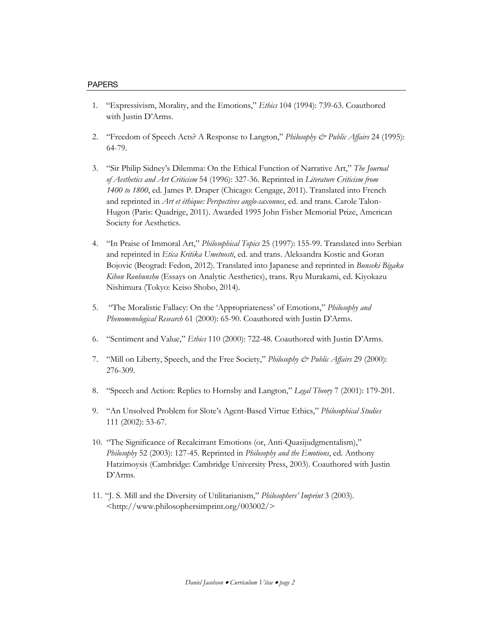- 1. "Expressivism, Morality, and the Emotions," *Ethics* 104 (1994): 739-63. Coauthored with Justin D'Arms.
- 2. "Freedom of Speech Acts? A Response to Langton," *Philosophy & Public Affairs* 24 (1995): 64-79.
- 3. "Sir Philip Sidney's Dilemma: On the Ethical Function of Narrative Art," *The Journal of Aesthetics and Art Criticism* 54 (1996): 327-36. Reprinted in *Literature Criticism from 1400 to 1800*, ed. James P. Draper (Chicago: Cengage, 2011). Translated into French and reprinted in *Art et éthique: Perspectives anglo-saxonnes*, ed. and trans. Carole Talon-Hugon (Paris: Quadrige, 2011). Awarded 1995 John Fisher Memorial Prize, American Society for Aesthetics.
- 4. "In Praise of Immoral Art," *Philosophical Topics* 25 (1997): 155-99. Translated into Serbian and reprinted in *Etica Kritika Umetnosti*, ed. and trans. Aleksandra Kostic and Goran Bojovic (Beograd: Fedon, 2012). Translated into Japanese and reprinted in *Bunseki Bigaku Kihon Ronbunshu* (Essays on Analytic Aesthetics), trans. Ryu Murakami, ed. Kiyokazu Nishimura (Tokyo: Keiso Shobo, 2014).
- 5. "The Moralistic Fallacy: On the 'Appropriateness' of Emotions," *Philosophy and Phenomenological Research* 61 (2000): 65-90. Coauthored with Justin D'Arms.
- 6. "Sentiment and Value," *Ethics* 110 (2000): 722-48. Coauthored with Justin D'Arms.
- 7. "Mill on Liberty, Speech, and the Free Society," *Philosophy & Public Affairs* 29 (2000): 276-309.
- 8. "Speech and Action: Replies to Hornsby and Langton," *Legal Theory* 7 (2001): 179-201.
- 9. "An Unsolved Problem for Slote's Agent-Based Virtue Ethics," *Philosophical Studies* 111 (2002): 53-67.
- 10. "The Significance of Recalcitrant Emotions (or, Anti-Quasijudgmentalism)," *Philosophy* 52 (2003): 127-45. Reprinted in *Philosophy and the Emotions*, ed. Anthony Hatzimoysis (Cambridge: Cambridge University Press, 2003). Coauthored with Justin D'Arms.
- 11. "J. S. Mill and the Diversity of Utilitarianism," *Philosophers' Imprint* 3 (2003). <http://www.philosophersimprint.org/003002/>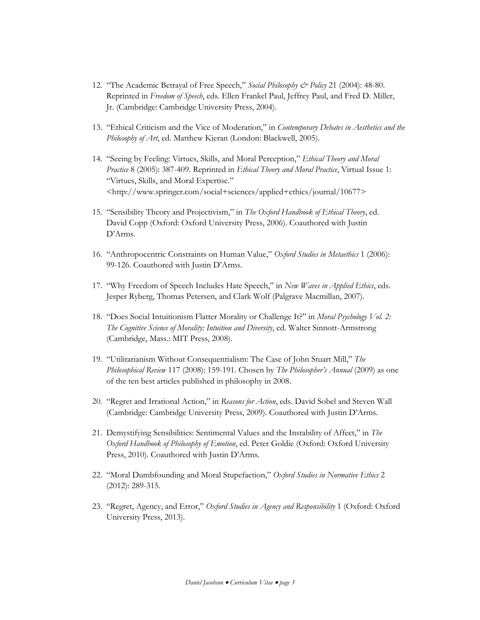- 12. "The Academic Betrayal of Free Speech," *Social Philosophy & Policy* 21 (2004): 48-80. Reprinted in *Freedom of Speech*, eds. Ellen Frankel Paul, Jeffrey Paul, and Fred D. Miller, Jr. (Cambridge: Cambridge University Press, 2004).
- 13. "Ethical Criticism and the Vice of Moderation," in *Contemporary Debates in Aesthetics and the Philosophy of Art*, ed. Matthew Kieran (London: Blackwell, 2005).
- 14. "Seeing by Feeling: Virtues, Skills, and Moral Perception," *Ethical Theory and Moral Practice* 8 (2005): 387-409. Reprinted in *Ethical Theory and Moral Practice*, Virtual Issue 1: "Virtues, Skills, and Moral Expertise." <http://www.springer.com/social+sciences/applied+ethics/journal/10677>
- 15. "Sensibility Theory and Projectivism," in *The Oxford Handbook of Ethical Theory*, ed. David Copp (Oxford: Oxford University Press, 2006). Coauthored with Justin D'Arms.
- 16. "Anthropocentric Constraints on Human Value," *Oxford Studies in Metaethics* 1 (2006): 99-126. Coauthored with Justin D'Arms.
- 17. "Why Freedom of Speech Includes Hate Speech," in *New Waves in Applied Ethics*, eds. Jesper Ryberg, Thomas Petersen, and Clark Wolf (Palgrave Macmillan, 2007).
- 18. "Does Social Intuitionism Flatter Morality or Challenge It?" in *Moral Psychology Vol. 2: The Cognitive Science of Morality: Intuition and Diversity*, ed. Walter Sinnott-Armstrong (Cambridge, Mass.: MIT Press, 2008).
- 19. "Utilitarianism Without Consequentialism: The Case of John Stuart Mill," *The Philosophical Review* 117 (2008): 159-191. Chosen by *The Philosopher's Annual* (2009) as one of the ten best articles published in philosophy in 2008.
- 20. "Regret and Irrational Action," in *Reasons for Action*, eds. David Sobel and Steven Wall (Cambridge: Cambridge University Press, 2009). Coauthored with Justin D'Arms.
- 21. Demystifying Sensibilities: Sentimental Values and the Instability of Affect," in *The Oxford Handbook of Philosophy of Emotion*, ed. Peter Goldie (Oxford: Oxford University Press, 2010). Coauthored with Justin D'Arms.
- 22. "Moral Dumbfounding and Moral Stupefaction," *Oxford Studies in Normative Ethics* 2 (2012): 289-315.
- 23. "Regret, Agency, and Error," *Oxford Studies in Agency and Responsibility* 1 (Oxford: Oxford University Press, 2013).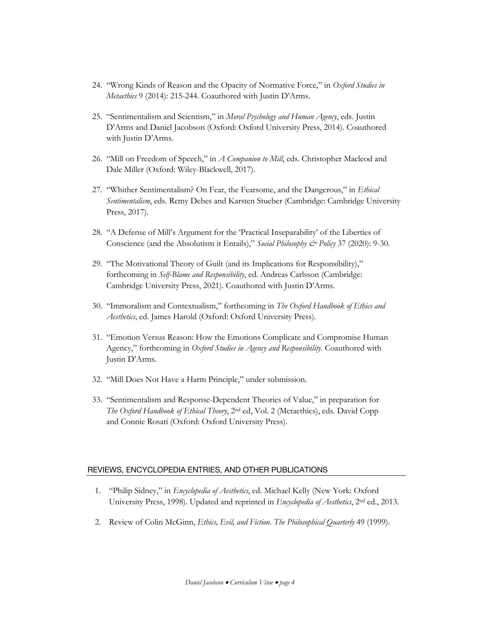- 24. "Wrong Kinds of Reason and the Opacity of Normative Force," in *Oxford Studies in Metaethics* 9 (2014): 215-244. Coauthored with Justin D'Arms.
- 25. "Sentimentalism and Scientism," in *Moral Psychology and Human Agency*, eds. Justin D'Arms and Daniel Jacobson (Oxford: Oxford University Press, 2014). Coauthored with Justin D'Arms.
- 26. "Mill on Freedom of Speech," in *A Companion to Mill*, eds. Christopher Macleod and Dale Miller (Oxford: Wiley-Blackwell, 2017).
- 27. "Whither Sentimentalism? On Fear, the Fearsome, and the Dangerous," in *Ethical Sentimentalism*, eds. Remy Debes and Karsten Stueber (Cambridge: Cambridge University Press, 2017).
- 28. "A Defense of Mill's Argument for the 'Practical Inseparability' of the Liberties of Conscience (and the Absolutism it Entails)," *Social Philosophy & Policy* 37 (2020): 9-30.
- 29. "The Motivational Theory of Guilt (and its Implications for Responsibility)," forthcoming in *Self-Blame and Responsibility*, ed. Andreas Carlsson (Cambridge: Cambridge University Press, 2021). Coauthored with Justin D'Arms.
- 30. "Immoralism and Contextualism," forthcoming in *The Oxford Handbook of Ethics and Aesthetics*, ed. James Harold (Oxford: Oxford University Press).
- 31. "Emotion Versus Reason: How the Emotions Complicate and Compromise Human Agency," forthcoming in *Oxford Studies in Agency and Responsibility*. Coauthored with Justin D'Arms.
- 32. "Mill Does Not Have a Harm Principle," under submission.
- 33. "Sentimentalism and Response-Dependent Theories of Value," in preparation for *The Oxford Handbook of Ethical Theory*, 2nd ed, Vol. 2 (Metaethics), eds. David Copp and Connie Rosati (Oxford: Oxford University Press).

# REVIEWS, ENCYCLOPEDIA ENTRIES, AND OTHER PUBLICATIONS

- 1. "Philip Sidney," in *Encyclopedia of Aesthetics*, ed. Michael Kelly (New York: Oxford University Press, 1998). Updated and reprinted in *Encyclopedia of Aesthetics*, 2nd ed., 2013.
- 2. Review of Colin McGinn, *Ethics, Evil, and Fiction*. *The Philosophical Quarterly* 49 (1999).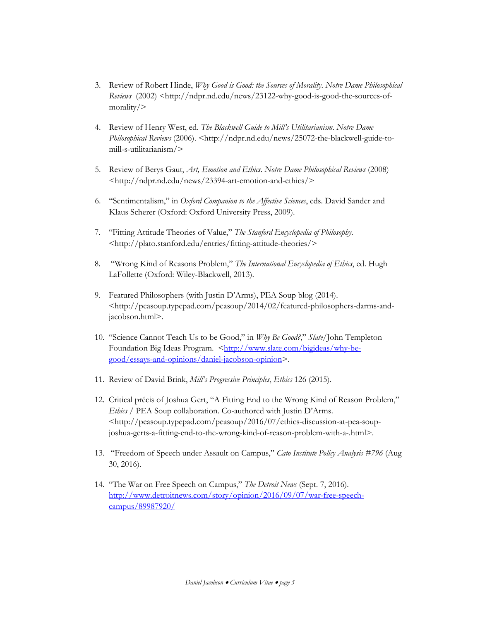- 3. Review of Robert Hinde, *Why Good is Good: the Sources of Morality*. *Notre Dame Philosophical Reviews* (2002) <http://ndpr.nd.edu/news/23122-why-good-is-good-the-sources-ofmorality/>
- 4. Review of Henry West, ed. *The Blackwell Guide to Mill's Utilitarianism*. *Notre Dame Philosophical Reviews* (2006). <http://ndpr.nd.edu/news/25072-the-blackwell-guide-tomill-s-utilitarianism/>
- 5. Review of Berys Gaut, *Art, Emotion and Ethics*. *Notre Dame Philosophical Reviews* (2008) <http://ndpr.nd.edu/news/23394-art-emotion-and-ethics/>
- 6. "Sentimentalism," in *Oxford Companion to the Affective Sciences*, eds. David Sander and Klaus Scherer (Oxford: Oxford University Press, 2009).
- 7. "Fitting Attitude Theories of Value," *The Stanford Encyclopedia of Philosophy*. <http://plato.stanford.edu/entries/fitting-attitude-theories/>
- 8. "Wrong Kind of Reasons Problem," *The International Encyclopedia of Ethics*, ed. Hugh LaFollette (Oxford: Wiley-Blackwell, 2013).
- 9. Featured Philosophers (with Justin D'Arms), PEA Soup blog (2014). <http://peasoup.typepad.com/peasoup/2014/02/featured-philosophers-darms-andjacobson.html>.
- 10. "Science Cannot Teach Us to be Good," in *Why Be Good?*," *Slate*/John Templeton Foundation Big Ideas Program. <http://www.slate.com/bigideas/why-begood/essays-and-opinions/daniel-jacobson-opinion>.
- 11. Review of David Brink, *Mill's Progressive Principles*, *Ethics* 126 (2015).
- 12. Critical précis of Joshua Gert, "A Fitting End to the Wrong Kind of Reason Problem," *Ethics* / PEA Soup collaboration. Co-authored with Justin D'Arms. <http://peasoup.typepad.com/peasoup/2016/07/ethics-discussion-at-pea-soupjoshua-gerts-a-fitting-end-to-the-wrong-kind-of-reason-problem-with-a-.html>.
- 13. "Freedom of Speech under Assault on Campus," *Cato Institute Policy Analysis #796* (Aug 30, 2016).
- 14. "The War on Free Speech on Campus," *The Detroit News* (Sept. 7, 2016). http://www.detroitnews.com/story/opinion/2016/09/07/war-free-speechcampus/89987920/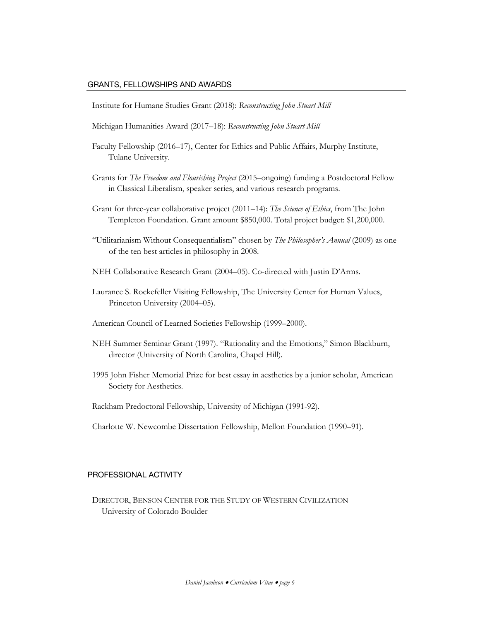### GRANTS, FELLOWSHIPS AND AWARDS

Institute for Humane Studies Grant (2018): *Reconstructing John Stuart Mill*

- Michigan Humanities Award (2017–18): *Reconstructing John Stuart Mill*
- Faculty Fellowship (2016–17), Center for Ethics and Public Affairs, Murphy Institute, Tulane University.
- Grants for *The Freedom and Flourishing Project* (2015–ongoing) funding a Postdoctoral Fellow in Classical Liberalism, speaker series, and various research programs.
- Grant for three-year collaborative project (2011–14): *The Science of Ethics*, from The John Templeton Foundation. Grant amount \$850,000. Total project budget: \$1,200,000.
- "Utilitarianism Without Consequentialism" chosen by *The Philosopher's Annual* (2009) as one of the ten best articles in philosophy in 2008.
- NEH Collaborative Research Grant (2004–05). Co-directed with Justin D'Arms.
- Laurance S. Rockefeller Visiting Fellowship, The University Center for Human Values, Princeton University (2004–05).
- American Council of Learned Societies Fellowship (1999–2000).
- NEH Summer Seminar Grant (1997). "Rationality and the Emotions," Simon Blackburn, director (University of North Carolina, Chapel Hill).
- 1995 John Fisher Memorial Prize for best essay in aesthetics by a junior scholar, American Society for Aesthetics.
- Rackham Predoctoral Fellowship, University of Michigan (1991-92).
- Charlotte W. Newcombe Dissertation Fellowship, Mellon Foundation (1990–91).

#### PROFESSIONAL ACTIVITY

DIRECTOR, BENSON CENTER FOR THE STUDY OF WESTERN CIVILIZATION University of Colorado Boulder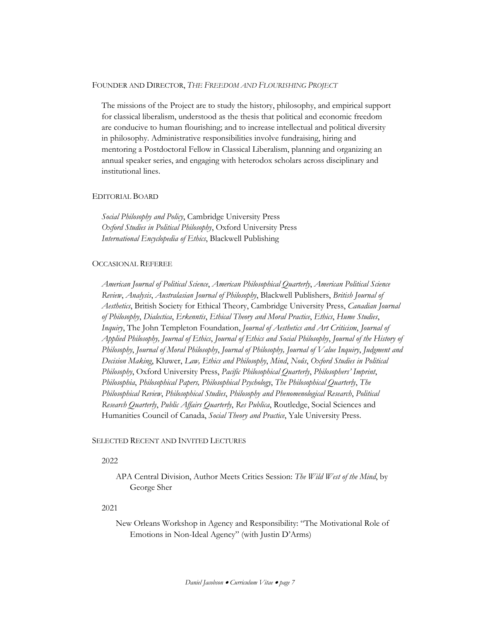### FOUNDER AND DIRECTOR, *THE FREEDOM AND FLOURISHING PROJECT*

The missions of the Project are to study the history, philosophy, and empirical support for classical liberalism, understood as the thesis that political and economic freedom are conducive to human flourishing; and to increase intellectual and political diversity in philosophy. Administrative responsibilities involve fundraising, hiring and mentoring a Postdoctoral Fellow in Classical Liberalism, planning and organizing an annual speaker series, and engaging with heterodox scholars across disciplinary and institutional lines.

### EDITORIAL BOARD

*Social Philosophy and Policy*, Cambridge University Press *Oxford Studies in Political Philosophy*, Oxford University Press *International Encyclopedia of Ethics*, Blackwell Publishing

# OCCASIONAL REFEREE

*American Journal of Political Science*, *American Philosophical Quarterly*, *American Political Science Review*, *Analysis*, *Australasian Journal of Philosophy*, Blackwell Publishers, *British Journal of Aesthetics*, British Society for Ethical Theory, Cambridge University Press, *Canadian Journal of Philosophy*, *Dialectica*, *Erkenntis*, *Ethical Theory and Moral Practice*, *Ethics*, *Hume Studies*, *Inquiry*, The John Templeton Foundation, *Journal of Aesthetics and Art Criticism*, *Journal of Applied Philosophy, Journal of Ethics*, *Journal of Ethics and Social Philosophy*, *Journal of the History of Philosophy*, *Journal of Moral Philosophy*, *Journal of Philosophy, Journal of Value Inquiry*, *Judgment and Decision Making*, Kluwer, *Law, Ethics and Philosophy*, *Mind*, *Noûs*, *Oxford Studies in Political Philosophy*, Oxford University Press, *Pacific Philosophical Quarterly*, *Philosophers' Imprint*, *Philosophia*, *Philosophical Papers, Philosophical Psychology*, *The Philosophical Quarterly*, *The Philosophical Review*, *Philosophical Studies*, *Philosophy and Phenomenological Research*, *Political Research Quarterly*, *Public Affairs Quarterly*, *Res Publica*, Routledge, Social Sciences and Humanities Council of Canada, *Social Theory and Practice*, Yale University Press.

### SELECTED RECENT AND INVITED LECTURES

### 2022

APA Central Division, Author Meets Critics Session: *The Wild West of the Mind*, by George Sher

# 2021

New Orleans Workshop in Agency and Responsibility: "The Motivational Role of Emotions in Non-Ideal Agency" (with Justin D'Arms)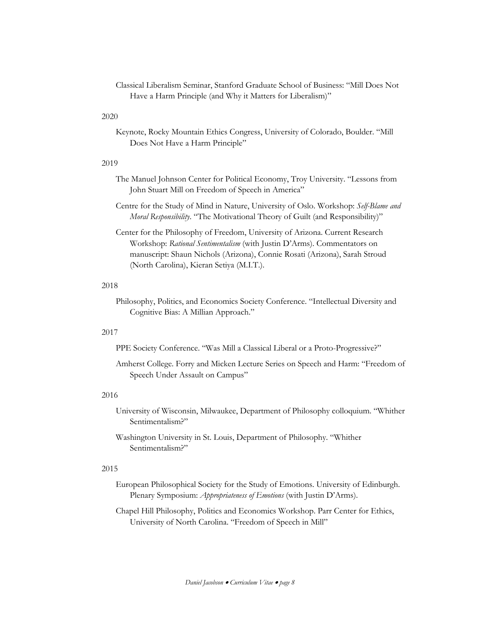Classical Liberalism Seminar, Stanford Graduate School of Business: "Mill Does Not Have a Harm Principle (and Why it Matters for Liberalism)"

### 2020

Keynote, Rocky Mountain Ethics Congress, University of Colorado, Boulder. "Mill Does Not Have a Harm Principle"

### 2019

- The Manuel Johnson Center for Political Economy, Troy University. "Lessons from John Stuart Mill on Freedom of Speech in America"
- Centre for the Study of Mind in Nature, University of Oslo. Workshop: *Self-Blame and Moral Responsibility*. "The Motivational Theory of Guilt (and Responsibility)"
- Center for the Philosophy of Freedom, University of Arizona. Current Research Workshop: *Rational Sentimentalism* (with Justin D'Arms). Commentators on manuscript: Shaun Nichols (Arizona), Connie Rosati (Arizona), Sarah Stroud (North Carolina), Kieran Setiya (M.I.T.).

## 2018

Philosophy, Politics, and Economics Society Conference. "Intellectual Diversity and Cognitive Bias: A Millian Approach."

### 2017

- PPE Society Conference. "Was Mill a Classical Liberal or a Proto-Progressive?"
- Amherst College. Forry and Micken Lecture Series on Speech and Harm: "Freedom of Speech Under Assault on Campus"

### 2016

- University of Wisconsin, Milwaukee, Department of Philosophy colloquium. "Whither Sentimentalism?"
- Washington University in St. Louis, Department of Philosophy. "Whither Sentimentalism?"

### 2015

European Philosophical Society for the Study of Emotions. University of Edinburgh. Plenary Symposium: *Appropriateness of Emotions* (with Justin D'Arms).

Chapel Hill Philosophy, Politics and Economics Workshop. Parr Center for Ethics, University of North Carolina. "Freedom of Speech in Mill"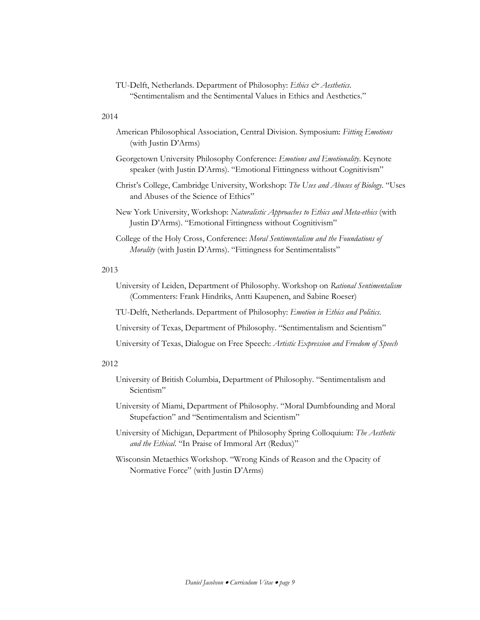TU-Delft, Netherlands. Department of Philosophy: *Ethics & Aesthetics*. "Sentimentalism and the Sentimental Values in Ethics and Aesthetics."

### 2014

- American Philosophical Association, Central Division. Symposium: *Fitting Emotions* (with Justin D'Arms)
- Georgetown University Philosophy Conference: *Emotions and Emotionality*. Keynote speaker (with Justin D'Arms). "Emotional Fittingness without Cognitivism"
- Christ's College, Cambridge University, Workshop: *The Uses and Abuses of Biology*. "Uses and Abuses of the Science of Ethics"
- New York University, Workshop: *Naturalistic Approaches to Ethics and Meta-ethics* (with Justin D'Arms). "Emotional Fittingness without Cognitivism"
- College of the Holy Cross, Conference: *Moral Sentimentalism and the Foundations of Morality* (with Justin D'Arms). "Fittingness for Sentimentalists"

### 2013

- University of Leiden, Department of Philosophy. Workshop on *Rational Sentimentalism* (Commenters: Frank Hindriks, Antti Kaupenen, and Sabine Roeser)
- TU-Delft, Netherlands. Department of Philosophy: *Emotion in Ethics and Politics*.
- University of Texas, Department of Philosophy. "Sentimentalism and Scientism"
- University of Texas, Dialogue on Free Speech: *Artistic Expression and Freedom of Speech*

#### 2012

- University of British Columbia, Department of Philosophy. "Sentimentalism and Scientism"
- University of Miami, Department of Philosophy. "Moral Dumbfounding and Moral Stupefaction" and "Sentimentalism and Scientism"
- University of Michigan, Department of Philosophy Spring Colloquium: *The Aesthetic and the Ethical*. "In Praise of Immoral Art (Redux)"
- Wisconsin Metaethics Workshop. "Wrong Kinds of Reason and the Opacity of Normative Force" (with Justin D'Arms)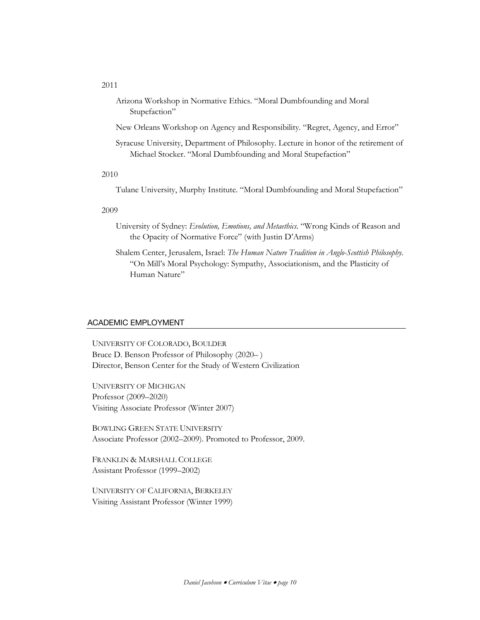Arizona Workshop in Normative Ethics. "Moral Dumbfounding and Moral Stupefaction"

New Orleans Workshop on Agency and Responsibility. "Regret, Agency, and Error"

Syracuse University, Department of Philosophy. Lecture in honor of the retirement of Michael Stocker. "Moral Dumbfounding and Moral Stupefaction"

### 2010

Tulane University, Murphy Institute. "Moral Dumbfounding and Moral Stupefaction"

### 2009

- University of Sydney: *Evolution, Emotions, and Metaethics*. "Wrong Kinds of Reason and the Opacity of Normative Force" (with Justin D'Arms)
- Shalem Center, Jerusalem, Israel: *The Human Nature Tradition in Anglo-Scottish Philosophy*. "On Mill's Moral Psychology: Sympathy, Associationism, and the Plasticity of Human Nature"

### ACADEMIC EMPLOYMENT

UNIVERSITY OF COLORADO, BOULDER Bruce D. Benson Professor of Philosophy (2020– ) Director, Benson Center for the Study of Western Civilization

UNIVERSITY OF MICHIGAN Professor (2009–2020) Visiting Associate Professor (Winter 2007)

BOWLING GREEN STATE UNIVERSITY Associate Professor (2002–2009). Promoted to Professor, 2009.

FRANKLIN & MARSHALL COLLEGE Assistant Professor (1999–2002)

UNIVERSITY OF CALIFORNIA, BERKELEY Visiting Assistant Professor (Winter 1999)

### 2011